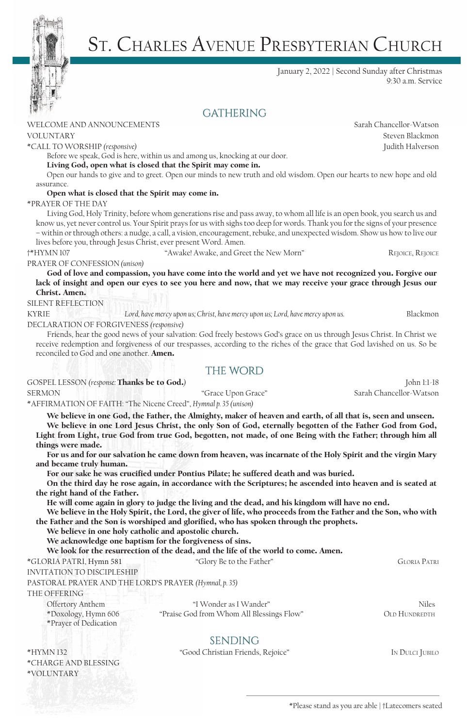

January 2, 2022 | Second Sunday after Christmas 9:30 a.m. Service

# **GATHERING**

### WELCOME AND ANNOUNCEMENTS Sarah Chancellor-Watson

\*CALL TO WORSHIP *(responsive)* Judith Halverson

Before we speak, God is here, within us and among us, knocking at our door.

Living God, open what is closed that the Spirit may come in.

Open our hands to give and to greet. Open our minds to new truth and old wisdom. Open our hearts to new hope and old assurance.

### Open what is closed that the Spirit may come in.

\*PRAYER OF THE DAY

Living God, Holy Trinity, before whom generations rise and pass away, to whom all life is an open book, you search us and know us, yet never control us. Your Spirit prays for us with sighs too deep for words. Thank you for the signs of your presence – within or through others: a nudge, a call, a vision, encouragement, rebuke, and unexpected wisdom. Show us how to live our lives before you, through Jesus Christ, ever present Word. Amen.

†\*HYMN 107 "Awake! Awake, and Greet the New Morn" Rejoice, Rejoice

PRAYER OF CONFESSION *(unison)* 

God of love and compassion, you have come into the world and yet we have not recognized you. Forgive our lack of insight and open our eyes to see you here and now, that we may receive your grace through Jesus our Christ. Amen.

#### SILENT REFLECTION

KYRIE *Lord, have mercy upon us; Christ, have mercy upon us; Lord, have mercy upon us.* Blackmon DECLARATION OF FORGIVENESS *(responsive)*

Friends, hear the good news of your salvation: God freely bestows God's grace on us through Jesus Christ. In Christ we receive redemption and forgiveness of our trespasses, according to the riches of the grace that God lavished on us. So be reconciled to God and one another. Amen.

## THE WORD

GOSPEL LESSON *(response:* Thanks be to God.*)* John 1:1-18

SERMON "Grace Upon Grace" Sarah Chancellor-Watson

\*AFFIRMATION OF FAITH: "The Nicene Creed", *Hymnal p. 35 (unison)*

We believe in one God, the Father, the Almighty, maker of heaven and earth, of all that is, seen and unseen. We believe in one Lord Jesus Christ, the only Son of God, eternally begotten of the Father God from God, Light from Light, true God from true God, begotten, not made, of one Being with the Father; through him all things were made.

For us and for our salvation he came down from heaven, was incarnate of the Holy Spirit and the virgin Mary and became truly human.

For our sake he was crucified under Pontius Pilate; he suffered death and was buried.

On the third day he rose again, in accordance with the Scriptures; he ascended into heaven and is seated at the right hand of the Father.

He will come again in glory to judge the living and the dead, and his kingdom will have no end.

We believe in the Holy Spirit, the Lord, the giver of life, who proceeds from the Father and the Son, who with the Father and the Son is worshiped and glorified, who has spoken through the prophets.

We believe in one holy catholic and apostolic church.

We acknowledge one baptism for the forgiveness of sins.

We look for the resurrection of the dead, and the life of the world to come. Amen.

\*GLORIA PATRI, Hymn 581 "Glory Be to the Father" Gloria Patri

INVITATION TO DISCIPLESHIP

PASTORAL PRAYER AND THE LORD'S PRAYER *(Hymnal, p. 35)*

THE OFFERING

Offertory Anthem "I Wonder as I Wander" Niles

| *Doxology, Hymn 606   |
|-----------------------|
| *Prayer of Dedication |

\*Praise God from Whom All Blessings Flow" OLD HUNDREDTH

**SENDING** 

\*HYMN 132 "Good Christian Friends, Rejoice" In Dulci Jubilo \*CHARGE AND BLESSING \*VOLUNTARY

VOLUNTARY Steven Blackmon